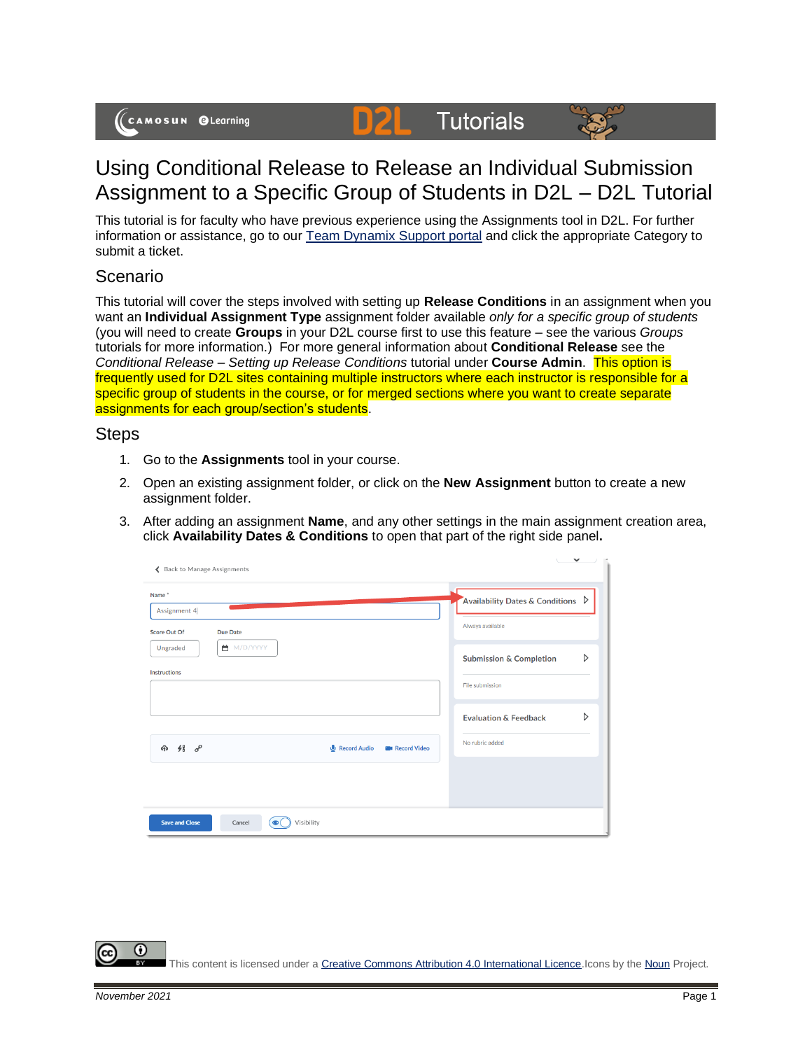(CAMOSUN @Learning

## Using Conditional Release to Release an Individual Submission Assignment to a Specific Group of Students in D2L – D2L Tutorial

**Tutorials** 

D

This tutorial is for faculty who have previous experience using the Assignments tool in D2L. For further information or assistance, go to our [Team Dynamix Support portal](https://camosun.teamdynamix.com/TDClient/67/Portal/Requests/ServiceCatalog?CategoryID=523) and click the appropriate Category to submit a ticket.

## Scenario

This tutorial will cover the steps involved with setting up **Release Conditions** in an assignment when you want an **Individual Assignment Type** assignment folder available *only for a specific group of students* (you will need to create **Groups** in your D2L course first to use this feature – see the various *Groups* tutorials for more information.) For more general information about **Conditional Release** see the *Conditional Release – Setting up Release Conditions* tutorial under **Course Admin**. This option is frequently used for D2L sites containing multiple instructors where each instructor is responsible for a specific group of students in the course, or for merged sections where you want to create separate assignments for each group/section's students.

## **Steps**

- 1. Go to the **Assignments** tool in your course.
- 2. Open an existing assignment folder, or click on the **New Assignment** button to create a new assignment folder.
- 3. After adding an assignment **Name**, and any other settings in the main assignment creation area, click **Availability Dates & Conditions** to open that part of the right side panel**.**

| ← Back to Manage Assignments                                                | $\checkmark$                                                         |
|-----------------------------------------------------------------------------|----------------------------------------------------------------------|
| Name <sup>*</sup><br>Assignment 4<br><b>Score Out Of</b><br><b>Due Date</b> | Availability Dates & Conditions $\triangleright$<br>Always available |
| ■ M/D/YYYY<br>Ungraded<br><b>Instructions</b>                               | D<br><b>Submission &amp; Completion</b><br>File submission           |
| $48\degree$<br>Record Audio<br>क़<br><b>EM</b> Record Video                 | D<br><b>Evaluation &amp; Feedback</b><br>No rubric added             |
| Visibility<br><b>Save and Close</b><br>Cancel<br>$\odot$                    |                                                                      |

This content is licensed under [a Creative Commons Attribution 4.0 International Licence.I](https://creativecommons.org/licenses/by/4.0/)cons by th[e Noun](https://creativecommons.org/website-icons/) Project.

G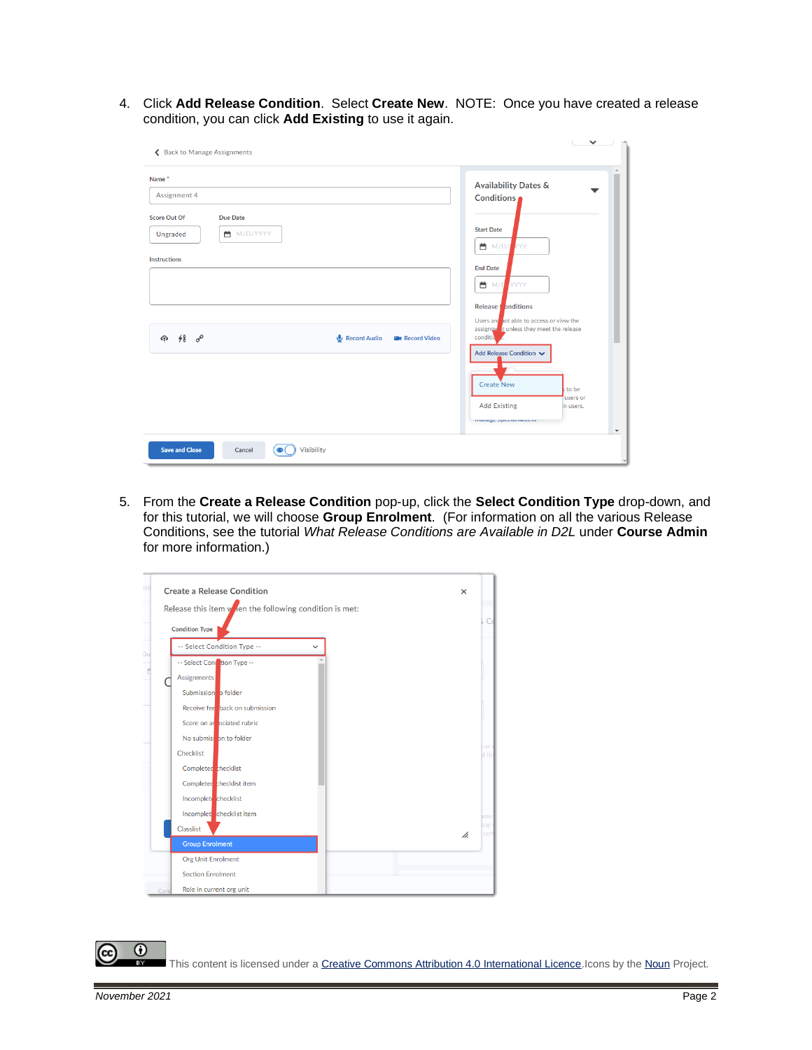4. Click **Add Release Condition**. Select **Create New**. NOTE: Once you have created a release condition, you can click **Add Existing** to use it again.

| ← Back to Manage Assignments                                                                                                                                                     | $\checkmark$                                                                                                                                                                                                                                                                                                                                                                                                           |
|----------------------------------------------------------------------------------------------------------------------------------------------------------------------------------|------------------------------------------------------------------------------------------------------------------------------------------------------------------------------------------------------------------------------------------------------------------------------------------------------------------------------------------------------------------------------------------------------------------------|
| Name <sup>*</sup><br>Assignment 4<br><b>Due Date</b><br><b>Score Out Of</b><br>■ M/D/YYYY<br>Ungraded<br><b>Instructions</b><br>4 48 8°<br>Record Audio<br><b>B</b> Record Video | <b>Availability Dates &amp;</b><br>Conditions<br><b>Start Date</b><br><b>曲</b> M/D/<br><b>IYYY</b><br><b>End Date</b><br><b>曲</b> M/Q<br>YYYY<br>Release nditions<br>Users are not able to access or view the<br>assignment tunless they meet the release<br>conditio<br>Add Release Condition V<br>Create New<br>to be<br>users or<br>Add Existing<br>in users.<br>manage openiar meetas<br>$\boldsymbol{\mathrm{v}}$ |
| Visibility<br><b>Save and Close</b><br>Cancel<br>$\bullet$                                                                                                                       |                                                                                                                                                                                                                                                                                                                                                                                                                        |

5. From the **Create a Release Condition** pop-up, click the **Select Condition Type** drop-down, and for this tutorial, we will choose **Group Enrolment**. (For information on all the various Release Conditions, see the tutorial *What Release Conditions are Available in D2L* under **Course Admin** for more information.)

| Release this item $v_{\parallel}$ en the following condition is met: |    |
|----------------------------------------------------------------------|----|
| <b>Condition Type</b>                                                |    |
| -- Select Condition Type --<br>$\check{ }$                           |    |
| -- Select Condition Type --                                          |    |
| <b>Assignments</b>                                                   |    |
| Submission o folder                                                  |    |
| Receive fee back on submission                                       |    |
| Score on as ociated rubric                                           |    |
| No submission to folder                                              |    |
| Checklist                                                            |    |
| Completed thecklist                                                  |    |
| Completed checklist item                                             |    |
| Incomplet checklist                                                  |    |
| Incomplet checklist item                                             |    |
| Classlist                                                            | h. |
| <b>Group Enrolment</b>                                               |    |
| <b>Org Unit Enrolment</b>                                            |    |

This content is licensed under [a Creative Commons Attribution 4.0 International Licence.I](https://creativecommons.org/licenses/by/4.0/)cons by th[e Noun](https://creativecommons.org/website-icons/) Project.

 $\odot$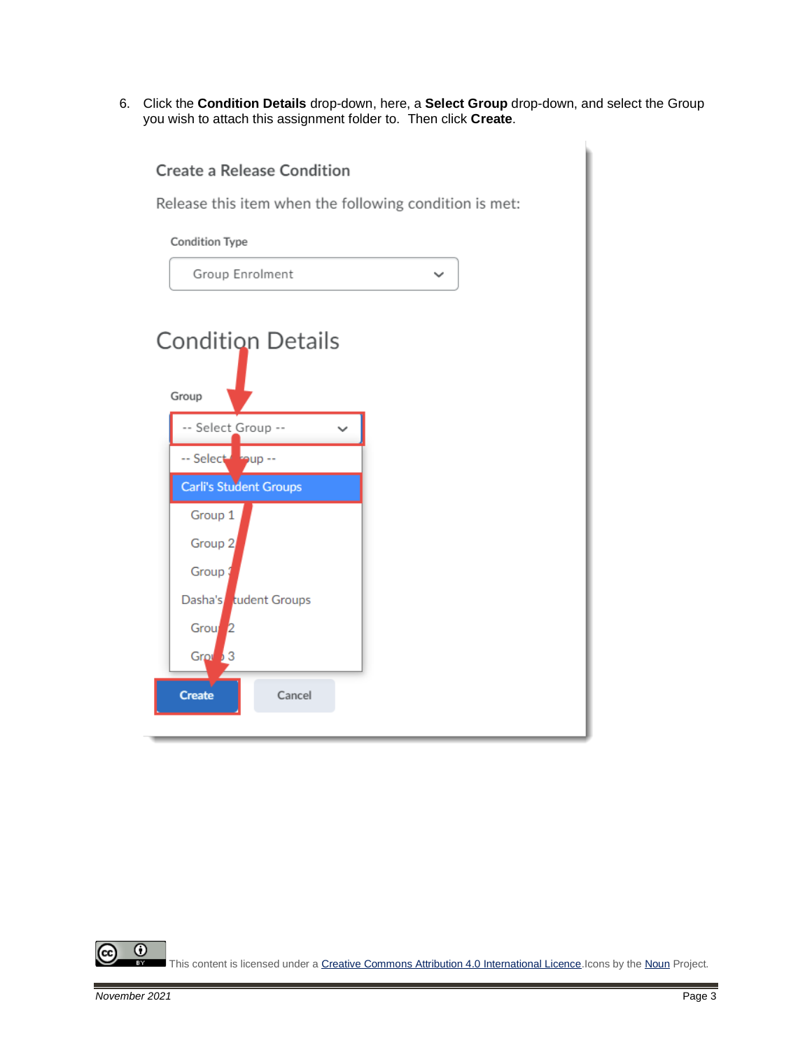6. Click the **Condition Details** drop-down, here, a **Select Group** drop-down, and select the Group you wish to attach this assignment folder to. Then click **Create**.

| <b>Create a Release Condition</b>                      |
|--------------------------------------------------------|
| Release this item when the following condition is met: |
| <b>Condition Type</b>                                  |
| Group Enrolment<br>$\checkmark$                        |
| <b>Condition Details</b><br>Group                      |
| -- Select Group --                                     |
| -- Select soup --                                      |
| Carli's Student Groups                                 |
| Group 1                                                |
| Group <sub>2</sub>                                     |
| Group ;                                                |
| Dasha's tudent Groups                                  |
| <b>Grou</b>                                            |
| Grou <sup>5</sup> 3                                    |
| <b>Create</b><br>Cancel                                |